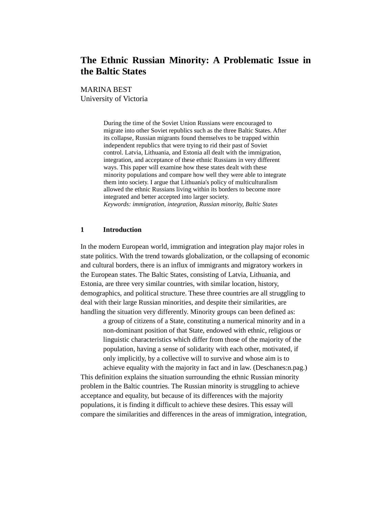# **The Ethnic Russian Minority: A Problematic Issue in the Baltic States**

MARINA BEST University of Victoria

> During the time of the Soviet Union Russians were encouraged to migrate into other Soviet republics such as the three Baltic States. After its collapse, Russian migrants found themselves to be trapped within independent republics that were trying to rid their past of Soviet control. Latvia, Lithuania, and Estonia all dealt with the immigration, integration, and acceptance of these ethnic Russians in very different ways. This paper will examine how these states dealt with these minority populations and compare how well they were able to integrate them into society. I argue that Lithuania's policy of multiculturalism allowed the ethnic Russians living within its borders to become more integrated and better accepted into larger society. *Keywords: immigration, integration, Russian minority, Baltic States*

# **1 Introduction**

In the modern European world, immigration and integration play major roles in state politics. With the trend towards globalization, or the collapsing of economic and cultural borders, there is an influx of immigrants and migratory workers in the European states. The Baltic States, consisting of Latvia, Lithuania, and Estonia, are three very similar countries, with similar location, history, demographics, and political structure. These three countries are all struggling to deal with their large Russian minorities, and despite their similarities, are handling the situation very differently. Minority groups can been defined as:

a group of citizens of a State, constituting a numerical minority and in a non-dominant position of that State, endowed with ethnic, religious or linguistic characteristics which differ from those of the majority of the population, having a sense of solidarity with each other, motivated, if only implicitly, by a collective will to survive and whose aim is to achieve equality with the majority in fact and in law. (Deschanes:n.pag.)

This definition explains the situation surrounding the ethnic Russian minority problem in the Baltic countries. The Russian minority is struggling to achieve acceptance and equality, but because of its differences with the majority populations, it is finding it difficult to achieve these desires. This essay will compare the similarities and differences in the areas of immigration, integration,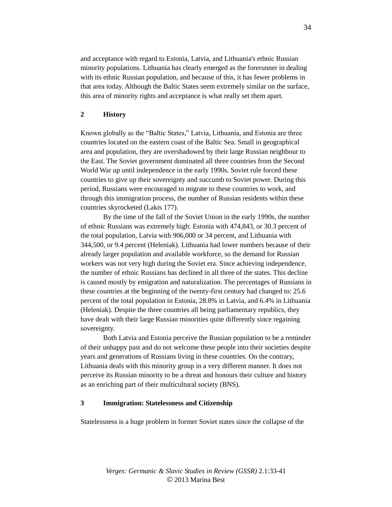and acceptance with regard to Estonia, Latvia, and Lithuania's ethnic Russian minority populations. Lithuania has clearly emerged as the forerunner in dealing with its ethnic Russian population, and because of this, it has fewer problems in that area today. Although the Baltic States seem extremely similar on the surface, this area of minority rights and acceptance is what really set them apart.

## **2 History**

Known globally as the "Baltic States," Latvia, Lithuania, and Estonia are three countries located on the eastern coast of the Baltic Sea. Small in geographical area and population, they are overshadowed by their large Russian neighbour to the East. The Soviet government dominated all three countries from the Second World War up until independence in the early 1990s. Soviet rule forced these countries to give up their sovereignty and succumb to Soviet power. During this period, Russians were encouraged to migrate to these countries to work, and through this immigration process, the number of Russian residents within these countries skyrocketed (Lakis 177).

By the time of the fall of the Soviet Union in the early 1990s, the number of ethnic Russians was extremely high: Estonia with 474,843, or 30.3 percent of the total population, Latvia with 906,000 or 34 percent, and Lithuania with 344,500, or 9.4 percent (Heleniak). Lithuania had lower numbers because of their already larger population and available workforce, so the demand for Russian workers was not very high during the Soviet era. Since achieving independence, the number of ethnic Russians has declined in all three of the states. This decline is caused mostly by emigration and naturalization. The percentages of Russians in these countries at the beginning of the twenty-first century had changed to: 25.6 percent of the total population in Estonia, 28.8% in Latvia, and 6.4% in Lithuania (Heleniak). Despite the three countries all being parliamentary republics, they have dealt with their large Russian minorities quite differently since regaining sovereignty.

Both Latvia and Estonia perceive the Russian population to be a reminder of their unhappy past and do not welcome these people into their societies despite years and generations of Russians living in these countries. On the contrary, Lithuania deals with this minority group in a very different manner. It does not perceive its Russian minority to be a threat and honours their culture and history as an enriching part of their multicultural society (BNS).

#### **3 Immigration: Statelessness and Citizenship**

Statelessness is a huge problem in former Soviet states since the collapse of the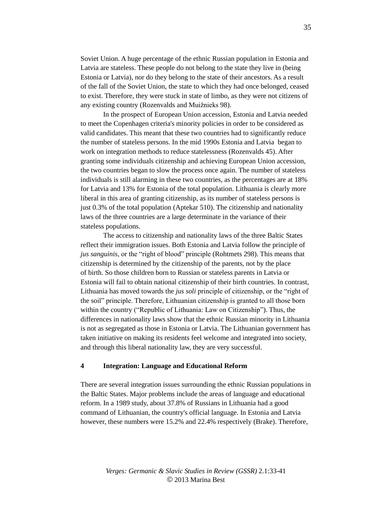Soviet Union. A huge percentage of the ethnic Russian population in Estonia and Latvia are stateless. These people do not belong to the state they live in (being Estonia or Latvia), nor do they belong to the state of their ancestors. As a result of the fall of the Soviet Union, the state to which they had once belonged, ceased to exist. Therefore, they were stuck in state of limbo, as they were not citizens of any existing country (Rozenvalds and Muižnieks 98).

In the prospect of European Union accession, Estonia and Latvia needed to meet the Copenhagen criteria's minority policies in order to be considered as valid candidates. This meant that these two countries had to significantly reduce the number of stateless persons. In the mid 1990s Estonia and Latvia began to work on integration methods to reduce statelessness (Rozenvalds 45). After granting some individuals citizenship and achieving European Union accession, the two countries began to slow the process once again. The number of stateless individuals is still alarming in these two countries, as the percentages are at 18% for Latvia and 13% for Estonia of the total population. Lithuania is clearly more liberal in this area of granting citizenship, as its number of stateless persons is just 0.3% of the total population (Aptekar 510). The citizenship and nationality laws of the three countries are a large determinate in the variance of their stateless populations.

The access to citizenship and nationality laws of the three Baltic States reflect their immigration issues. Both Estonia and Latvia follow the principle of *jus sanguinis*, or the "right of blood" principle (Rohtmets 298). This means that citizenship is determined by the citizenship of the parents, not by the place of birth. So those children born to Russian or stateless parents in Latvia or Estonia will fail to obtain national citizenship of their birth countries. In contrast, Lithuania has moved towards the *jus soli* principle of citizenship, or the "right of the soil" principle. Therefore, Lithuanian citizenship is granted to all those born within the country ("Republic of Lithuania: Law on Citizenship"). Thus, the differences in nationality laws show that the ethnic Russian minority in Lithuania is not as segregated as those in Estonia or Latvia. The Lithuanian government has taken initiative on making its residents feel welcome and integrated into society, and through this liberal nationality law, they are very successful.

### **4 Integration: Language and Educational Reform**

There are several integration issues surrounding the ethnic Russian populations in the Baltic States. Major problems include the areas of language and educational reform. In a 1989 study, about 37.8% of Russians in Lithuania had a good command of Lithuanian, the country's official language. In Estonia and Latvia however, these numbers were 15.2% and 22.4% respectively (Brake). Therefore,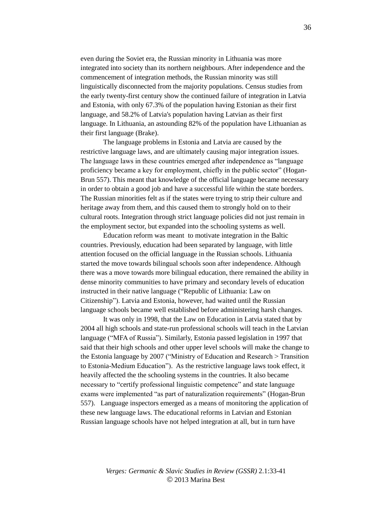even during the Soviet era, the Russian minority in Lithuania was more integrated into society than its northern neighbours. After independence and the commencement of integration methods, the Russian minority was still linguistically disconnected from the majority populations. Census studies from the early twenty-first century show the continued failure of integration in Latvia and Estonia, with only 67.3% of the population having Estonian as their first language, and 58.2% of Latvia's population having Latvian as their first language. In Lithuania, an astounding 82% of the population have Lithuanian as their first language (Brake).

The language problems in Estonia and Latvia are caused by the restrictive language laws, and are ultimately causing major integration issues. The language laws in these countries emerged after independence as "language proficiency became a key for employment, chiefly in the public sector" (Hogan-Brun 557). This meant that knowledge of the official language became necessary in order to obtain a good job and have a successful life within the state borders. The Russian minorities felt as if the states were trying to strip their culture and heritage away from them, and this caused them to strongly hold on to their cultural roots. Integration through strict language policies did not just remain in the employment sector, but expanded into the schooling systems as well.

Education reform was meant to motivate integration in the Baltic countries. Previously, education had been separated by language, with little attention focused on the official language in the Russian schools. Lithuania started the move towards bilingual schools soon after independence. Although there was a move towards more bilingual education, there remained the ability in dense minority communities to have primary and secondary levels of education instructed in their native language ("Republic of Lithuania: Law on Citizenship"). Latvia and Estonia, however, had waited until the Russian language schools became well established before administering harsh changes.

It was only in 1998, that the Law on Education in Latvia stated that by 2004 all high schools and state-run professional schools will teach in the Latvian language ("MFA of Russia"). Similarly, Estonia passed legislation in 1997 that said that their high schools and other upper level schools will make the change to the Estonia language by 2007 ("Ministry of Education and Research > Transition to Estonia-Medium Education"). As the restrictive language laws took effect, it heavily affected the the schooling systems in the countries. It also became necessary to "certify professional linguistic competence" and state language exams were implemented "as part of naturalization requirements" (Hogan-Brun 557). Language inspectors emerged as a means of monitoring the application of these new language laws. The educational reforms in Latvian and Estonian Russian language schools have not helped integration at all, but in turn have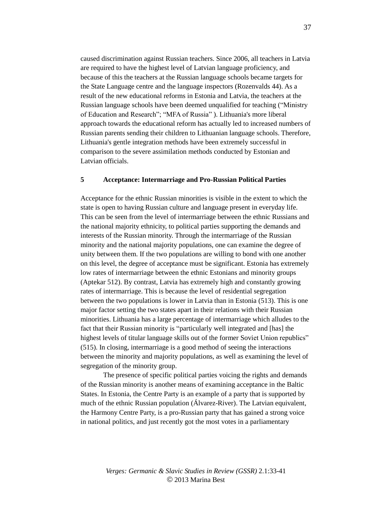caused discrimination against Russian teachers. Since 2006, all teachers in Latvia are required to have the highest level of Latvian language proficiency, and because of this the teachers at the Russian language schools became targets for the State Language centre and the language inspectors (Rozenvalds 44). As a result of the new educational reforms in Estonia and Latvia, the teachers at the Russian language schools have been deemed unqualified for teaching ("Ministry of Education and Research"; "MFA of Russia" ). Lithuania's more liberal approach towards the educational reform has actually led to increased numbers of Russian parents sending their children to Lithuanian language schools. Therefore, Lithuania's gentle integration methods have been extremely successful in comparison to the severe assimilation methods conducted by Estonian and Latvian officials.

## **5 Acceptance: Intermarriage and Pro-Russian Political Parties**

Acceptance for the ethnic Russian minorities is visible in the extent to which the state is open to having Russian culture and language present in everyday life. This can be seen from the level of intermarriage between the ethnic Russians and the national majority ethnicity, to political parties supporting the demands and interests of the Russian minority. Through the intermarriage of the Russian minority and the national majority populations, one can examine the degree of unity between them. If the two populations are willing to bond with one another on this level, the degree of acceptance must be significant. Estonia has extremely low rates of intermarriage between the ethnic Estonians and minority groups (Aptekar 512). By contrast, Latvia has extremely high and constantly growing rates of intermarriage. This is because the level of residential segregation between the two populations is lower in Latvia than in Estonia (513). This is one major factor setting the two states apart in their relations with their Russian minorities. Lithuania has a large percentage of intermarriage which alludes to the fact that their Russian minority is "particularly well integrated and [has] the highest levels of titular language skills out of the former Soviet Union republics" (515). In closing, intermarriage is a good method of seeing the interactions between the minority and majority populations, as well as examining the level of segregation of the minority group.

The presence of specific political parties voicing the rights and demands of the Russian minority is another means of examining acceptance in the Baltic States. In Estonia, the Centre Party is an example of a party that is supported by much of the ethnic Russian population (Álvarez-River). The Latvian equivalent, the Harmony Centre Party, is a pro-Russian party that has gained a strong voice in national politics, and just recently got the most votes in a parliamentary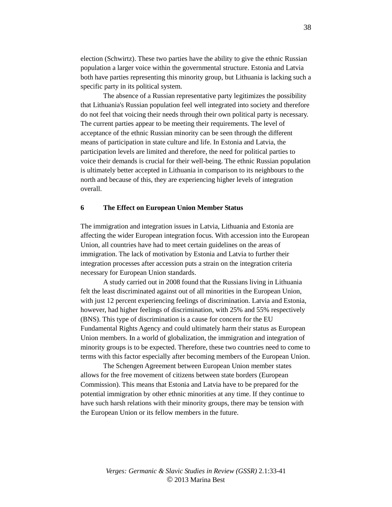election (Schwirtz). These two parties have the ability to give the ethnic Russian population a larger voice within the governmental structure. Estonia and Latvia both have parties representing this minority group, but Lithuania is lacking such a specific party in its political system.

The absence of a Russian representative party legitimizes the possibility that Lithuania's Russian population feel well integrated into society and therefore do not feel that voicing their needs through their own political party is necessary. The current parties appear to be meeting their requirements. The level of acceptance of the ethnic Russian minority can be seen through the different means of participation in state culture and life. In Estonia and Latvia, the participation levels are limited and therefore, the need for political parties to voice their demands is crucial for their well-being. The ethnic Russian population is ultimately better accepted in Lithuania in comparison to its neighbours to the north and because of this, they are experiencing higher levels of integration overall.

## **6 The Effect on European Union Member Status**

The immigration and integration issues in Latvia, Lithuania and Estonia are affecting the wider European integration focus. With accession into the European Union, all countries have had to meet certain guidelines on the areas of immigration. The lack of motivation by Estonia and Latvia to further their integration processes after accession puts a strain on the integration criteria necessary for European Union standards.

A study carried out in 2008 found that the Russians living in Lithuania felt the least discriminated against out of all minorities in the European Union, with just 12 percent experiencing feelings of discrimination. Latvia and Estonia, however, had higher feelings of discrimination, with 25% and 55% respectively (BNS). This type of discrimination is a cause for concern for the EU Fundamental Rights Agency and could ultimately harm their status as European Union members. In a world of globalization, the immigration and integration of minority groups is to be expected. Therefore, these two countries need to come to terms with this factor especially after becoming members of the European Union.

The Schengen Agreement between European Union member states allows for the free movement of citizens between state borders (European Commission). This means that Estonia and Latvia have to be prepared for the potential immigration by other ethnic minorities at any time. If they continue to have such harsh relations with their minority groups, there may be tension with the European Union or its fellow members in the future.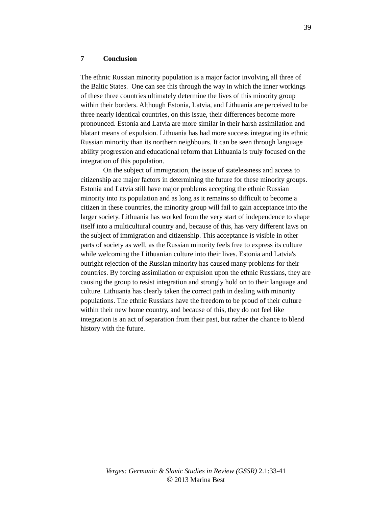#### **7 Conclusion**

The ethnic Russian minority population is a major factor involving all three of the Baltic States. One can see this through the way in which the inner workings of these three countries ultimately determine the lives of this minority group within their borders. Although Estonia, Latvia, and Lithuania are perceived to be three nearly identical countries, on this issue, their differences become more pronounced. Estonia and Latvia are more similar in their harsh assimilation and blatant means of expulsion. Lithuania has had more success integrating its ethnic Russian minority than its northern neighbours. It can be seen through language ability progression and educational reform that Lithuania is truly focused on the integration of this population.

On the subject of immigration, the issue of statelessness and access to citizenship are major factors in determining the future for these minority groups. Estonia and Latvia still have major problems accepting the ethnic Russian minority into its population and as long as it remains so difficult to become a citizen in these countries, the minority group will fail to gain acceptance into the larger society. Lithuania has worked from the very start of independence to shape itself into a multicultural country and, because of this, has very different laws on the subject of immigration and citizenship. This acceptance is visible in other parts of society as well, as the Russian minority feels free to express its culture while welcoming the Lithuanian culture into their lives. Estonia and Latvia's outright rejection of the Russian minority has caused many problems for their countries. By forcing assimilation or expulsion upon the ethnic Russians, they are causing the group to resist integration and strongly hold on to their language and culture. Lithuania has clearly taken the correct path in dealing with minority populations. The ethnic Russians have the freedom to be proud of their culture within their new home country, and because of this, they do not feel like integration is an act of separation from their past, but rather the chance to blend history with the future.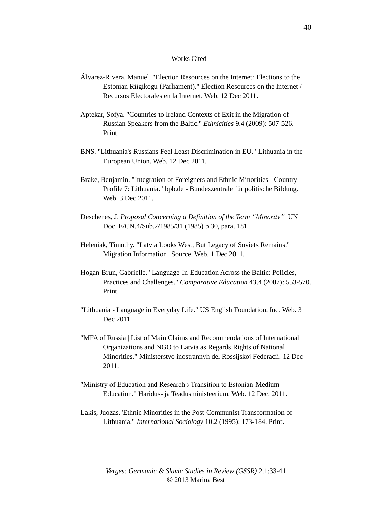#### Works Cited

- Álvarez-Rivera, Manuel. "Election Resources on the Internet: Elections to the Estonian Riigikogu (Parliament)." Election Resources on the Internet / Recursos Electorales en la Internet. Web. 12 Dec 2011.
- Aptekar, Sofya. "Countries to Ireland Contexts of Exit in the Migration of Russian Speakers from the Baltic." *Ethnicities* 9.4 (2009): 507-526. Print.
- BNS. "Lithuania's Russians Feel Least Discrimination in EU." Lithuania in the European Union. Web. 12 Dec 2011.
- Brake, Benjamin. "Integration of Foreigners and Ethnic Minorities Country Profile 7: Lithuania." bpb.de - Bundeszentrale für politische Bildung. Web. 3 Dec 2011.
- Deschenes, J. *Proposal Concerning a Definition of the Term "Minority".* UN Doc. E/CN.4/Sub.2/1985/31 (1985) p 30, para. 181.
- Heleniak, Timothy. "Latvia Looks West, But Legacy of Soviets Remains." Migration Information Source. Web. 1 Dec 2011.
- Hogan-Brun, Gabrielle. "Language-In-Education Across the Baltic: Policies, Practices and Challenges." *Comparative Education* 43.4 (2007): 553-570. Print.
- "Lithuania Language in Everyday Life." US English Foundation, Inc. Web. 3 Dec 2011.
- "MFA of Russia | List of Main Claims and Recommendations of International Organizations and NGO to Latvia as Regards Rights of National Minorities." Ministerstvo inostrannyh del Rossijskoj Federacii. 12 Dec 2011.
- "Ministry of Education and Research › Transition to Estonian-Medium Education." Haridus- ja Teadusministeerium. Web. 12 Dec. 2011.
- Lakis, Juozas."Ethnic Minorities in the Post-Communist Transformation of Lithuania." *International Sociology* 10.2 (1995): 173-184. Print.